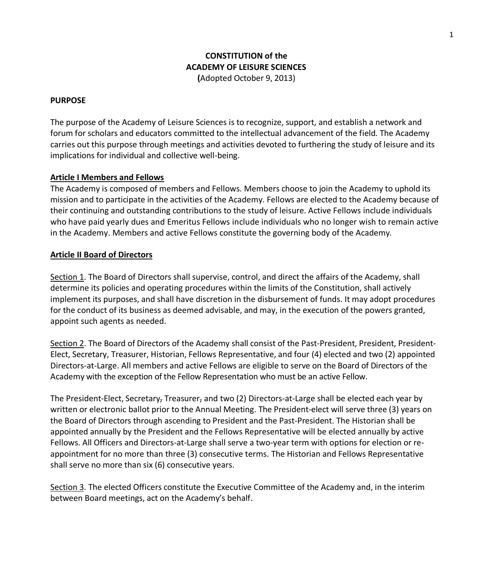# **CONSTITUTION of the ACADEMY OF LEISURE SCIENCES (**Adopted October 9, 2013)

#### **PURPOSE**

The purpose of the Academy of Leisure Sciences is to recognize, support, and establish a network and forum for scholars and educators committed to the intellectual advancement of the field. The Academy carries out this purpose through meetings and activities devoted to furthering the study of leisure and its implications for individual and collective well-being.

#### **Article I Members and Fellows**

The Academy is composed of members and Fellows. Members choose to join the Academy to uphold its mission and to participate in the activities of the Academy. Fellows are elected to the Academy because of their continuing and outstanding contributions to the study of leisure. Active Fellows include individuals who have paid yearly dues and Emeritus Fellows include individuals who no longer wish to remain active in the Academy. Members and active Fellows constitute the governing body of the Academy.

### **Article II Board of Directors**

Section 1. The Board of Directors shall supervise, control, and direct the affairs of the Academy, shall determine its policies and operating procedures within the limits of the Constitution, shall actively implement its purposes, and shall have discretion in the disbursement of funds. It may adopt procedures for the conduct of its business as deemed advisable, and may, in the execution of the powers granted, appoint such agents as needed.

Section 2. The Board of Directors of the Academy shall consist of the Past-President, President, President-Elect, Secretary, Treasurer, Historian, Fellows Representative, and four (4) elected and two (2) appointed Directors-at-Large. All members and active Fellows are eligible to serve on the Board of Directors of the Academy with the exception of the Fellow Representation who must be an active Fellow.

The President-Elect, Secretary, Treasurer, and two (2) Directors-at-Large shall be elected each year by written or electronic ballot prior to the Annual Meeting. The President-elect will serve three (3) years on the Board of Directors through ascending to President and the Past-President. The Historian shall be appointed annually by the President and the Fellows Representative will be elected annually by active Fellows. All Officers and Directors-at-Large shall serve a two-year term with options for election or reappointment for no more than three (3) consecutive terms. The Historian and Fellows Representative shall serve no more than six (6) consecutive years.

Section 3. The elected Officers constitute the Executive Committee of the Academy and, in the interim between Board meetings, act on the Academy's behalf.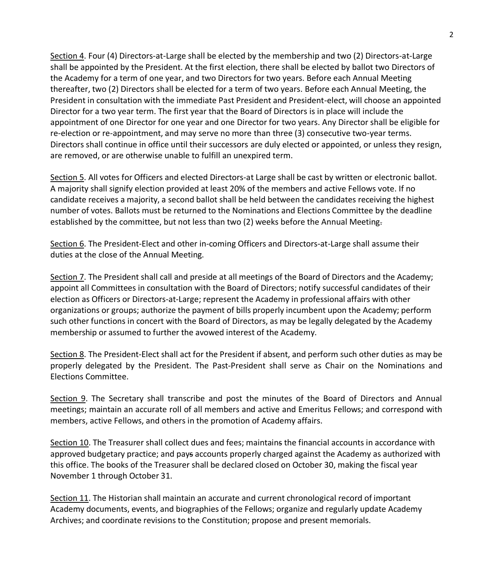Section 4. Four (4) Directors-at-Large shall be elected by the membership and two (2) Directors-at-Large shall be appointed by the President. At the first election, there shall be elected by ballot two Directors of the Academy for a term of one year, and two Directors for two years. Before each Annual Meeting thereafter, two (2) Directors shall be elected for a term of two years. Before each Annual Meeting, the President in consultation with the immediate Past President and President-elect, will choose an appointed Director for a two year term. The first year that the Board of Directors is in place will include the appointment of one Director for one year and one Director for two years. Any Director shall be eligible for re-election or re-appointment, and may serve no more than three (3) consecutive two-year terms. Directors shall continue in office until their successors are duly elected or appointed, or unless they resign, are removed, or are otherwise unable to fulfill an unexpired term.

Section 5. All votes for Officers and elected Directors-at Large shall be cast by written or electronic ballot. A majority shall signify election provided at least 20% of the members and active Fellows vote. If no candidate receives a majority, a second ballot shall be held between the candidates receiving the highest number of votes. Ballots must be returned to the Nominations and Elections Committee by the deadline established by the committee, but not less than two (2) weeks before the Annual Meeting.

Section 6. The President-Elect and other in-coming Officers and Directors-at-Large shall assume their duties at the close of the Annual Meeting.

Section 7. The President shall call and preside at all meetings of the Board of Directors and the Academy; appoint all Committees in consultation with the Board of Directors; notify successful candidates of their election as Officers or Directors-at-Large; represent the Academy in professional affairs with other organizations or groups; authorize the payment of bills properly incumbent upon the Academy; perform such other functions in concert with the Board of Directors, as may be legally delegated by the Academy membership or assumed to further the avowed interest of the Academy.

Section 8. The President-Elect shall act for the President if absent, and perform such other duties as may be properly delegated by the President. The Past-President shall serve as Chair on the Nominations and Elections Committee.

Section 9. The Secretary shall transcribe and post the minutes of the Board of Directors and Annual meetings; maintain an accurate roll of all members and active and Emeritus Fellows; and correspond with members, active Fellows, and others in the promotion of Academy affairs.

Section 10. The Treasurer shall collect dues and fees; maintains the financial accounts in accordance with approved budgetary practice; and pays accounts properly charged against the Academy as authorized with this office. The books of the Treasurer shall be declared closed on October 30, making the fiscal year November 1 through October 31.

Section 11. The Historian shall maintain an accurate and current chronological record of important Academy documents, events, and biographies of the Fellows; organize and regularly update Academy Archives; and coordinate revisions to the Constitution; propose and present memorials.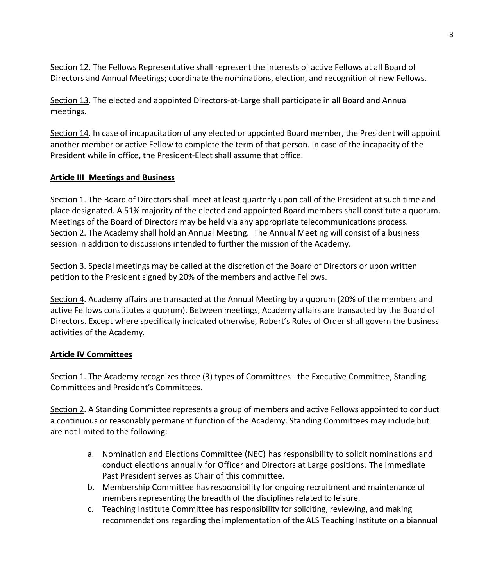Section 12. The Fellows Representative shall represent the interests of active Fellows at all Board of Directors and Annual Meetings; coordinate the nominations, election, and recognition of new Fellows.

Section 13. The elected and appointed Directors-at-Large shall participate in all Board and Annual meetings.

Section 14. In case of incapacitation of any elected-or appointed Board member, the President will appoint another member or active Fellow to complete the term of that person. In case of the incapacity of the President while in office, the President-Elect shall assume that office.

### **Article III Meetings and Business**

Section 1. The Board of Directors shall meet at least quarterly upon call of the President at such time and place designated. A 51% majority of the elected and appointed Board members shall constitute a quorum. Meetings of the Board of Directors may be held via any appropriate telecommunications process. Section 2. The Academy shall hold an Annual Meeting. The Annual Meeting will consist of a business session in addition to discussions intended to further the mission of the Academy.

Section 3. Special meetings may be called at the discretion of the Board of Directors or upon written petition to the President signed by 20% of the members and active Fellows.

Section 4. Academy affairs are transacted at the Annual Meeting by a quorum (20% of the members and active Fellows constitutes a quorum). Between meetings, Academy affairs are transacted by the Board of Directors. Except where specifically indicated otherwise, Robert's Rules of Order shall govern the business activities of the Academy.

## **Article IV Committees**

Section 1. The Academy recognizes three (3) types of Committees - the Executive Committee, Standing Committees and President's Committees.

Section 2. A Standing Committee represents a group of members and active Fellows appointed to conduct a continuous or reasonably permanent function of the Academy. Standing Committees may include but are not limited to the following:

- a. Nomination and Elections Committee (NEC) has responsibility to solicit nominations and conduct elections annually for Officer and Directors at Large positions. The immediate Past President serves as Chair of this committee.
- b. Membership Committee has responsibility for ongoing recruitment and maintenance of members representing the breadth of the disciplines related to leisure.
- c. Teaching Institute Committee has responsibility for soliciting, reviewing, and making recommendations regarding the implementation of the ALS Teaching Institute on a biannual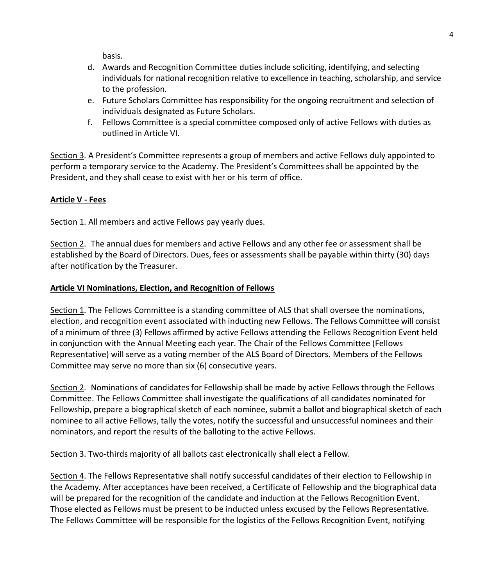basis.

- d. Awards and Recognition Committee duties include soliciting, identifying, and selecting individuals for national recognition relative to excellence in teaching, scholarship, and service to the profession.
- e. Future Scholars Committee has responsibility for the ongoing recruitment and selection of individuals designated as Future Scholars.
- f. Fellows Committee is a special committee composed only of active Fellows with duties as outlined in Article VI.

Section 3. A President's Committee represents a group of members and active Fellows duly appointed to perform a temporary service to the Academy. The President's Committees shall be appointed by the President, and they shall cease to exist with her or his term of office.

# **Article V - Fees**

Section 1. All members and active Fellows pay yearly dues.

Section 2. The annual dues for members and active Fellows and any other fee or assessment shall be established by the Board of Directors. Dues, fees or assessments shall be payable within thirty (30) days after notification by the Treasurer.

# **Article VI Nominations, Election, and Recognition of Fellows**

Section 1. The Fellows Committee is a standing committee of ALS that shall oversee the nominations, election, and recognition event associated with inducting new Fellows. The Fellows Committee will consist of a minimum of three (3) Fellows affirmed by active Fellows attending the Fellows Recognition Event held in conjunction with the Annual Meeting each year. The Chair of the Fellows Committee (Fellows Representative) will serve as a voting member of the ALS Board of Directors. Members of the Fellows Committee may serve no more than six (6) consecutive years.

Section 2. Nominations of candidates for Fellowship shall be made by active Fellows through the Fellows Committee. The Fellows Committee shall investigate the qualifications of all candidates nominated for Fellowship, prepare a biographical sketch of each nominee, submit a ballot and biographical sketch of each nominee to all active Fellows, tally the votes, notify the successful and unsuccessful nominees and their nominators, and report the results of the balloting to the active Fellows.

Section 3. Two-thirds majority of all ballots cast electronically shall elect a Fellow.

Section 4. The Fellows Representative shall notify successful candidates of their election to Fellowship in the Academy. After acceptances have been received, a Certificate of Fellowship and the biographical data will be prepared for the recognition of the candidate and induction at the Fellows Recognition Event. Those elected as Fellows must be present to be inducted unless excused by the Fellows Representative. The Fellows Committee will be responsible for the logistics of the Fellows Recognition Event, notifying